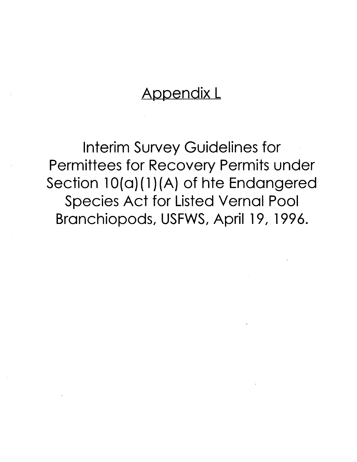# **Appendix L**

**Interim Survey Guidelines for<br>Permittees for Recovery Permits under** Section 10(a)(1)(A) of hte Endangered **Species Act for Listed Vernal Pool Branchiopods, USFWS, April 19, 1996.**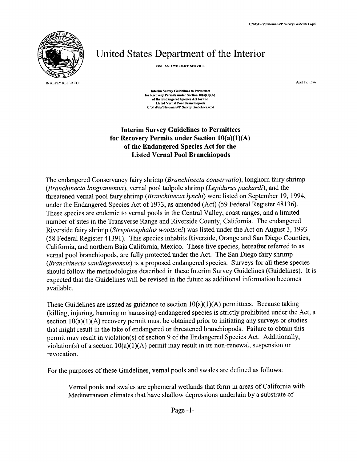

## United States Department of the Interior

FISH AND WILDLIFE SERVICE

April 19, 1996

**Interim Survey Guidelines to Permittees for Recovery Permits under Section 10(a)(1)(A)** of the Endangered Species Act for the **Listed Vernal Pool Branchiopods** C:\MyFiles\Natomas\VP Survey Guidelines.wpd

## **Interim Survey Guidelines to Permittees for Recovery Permits under Section 10(a)(1)(A) of the Endangered Species Act for the Listed Vernal Pool Branchiopods**

The endangered Conservancy fairy shrimp (*Branchinecta conservatio),* longhorn fairy shrimp (*Branchinecta longiantenna),* vernal pool tadpole shrimp *(Lepidurus packardi*), and the threatened vernal pool fairy shrimp (*Branchinecta lynchi*) were listed on September 19, 1994, under the Endangered Species Act of 1973, as amended (Act) (59 Federal Register 48136). These species are endemic to vernal pools in the Central Valley, coast ranges, and a limited number of sites in the Transverse Range and Riverside County, California. The endangered Riverside fairy shrimp *(Streptocephalus woottoni*) was listed under the Act on August 3, 1993 (58 Federal Register 41391). This species inhabits Riverside, Orange and San Diego Counties, California, and northern Baja California, Mexico. These five species, hereafter referred to as vernal pool branchiopods, are fully protected under the Act. The San Diego fairy shrimp *(Branchinecta sandiegonensis*) is a proposed endangered species. Surveys for all these species should follow the methodologies described in these Interim Survey Guidelines (Guidelines). It is expected that the Guidelines will be revised in the future as additional information becomes available.

These Guidelines are issued as guidance to section  $10(a)(1)(A)$  permittees. Because taking (killing, injuring, harming or harassing) endangered species is strictly prohibited under the Act, a section  $10(a)(1)(A)$  recovery permit must be obtained prior to initiating any surveys or studies that might result in the take of endangered or threatened branchiopods. Failure to obtain this permit may result in violation(s) of section 9 of the Endangered Species Act. Additionally, violation(s) of a section  $10(a)(1)(A)$  permit may result in its non-renewal, suspension or revocation.

For the purposes of these Guidelines, vernal pools and swales are defined as follows:

Vernal pools and swales are ephemeral wetlands that form in areas of California with Mediterranean climates that have shallow depressions underlain by a substrate of

Page  $-1$ -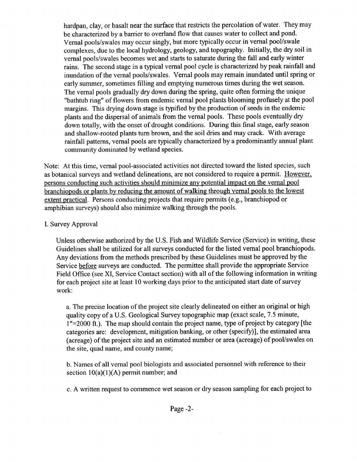hardpan, clay, or basalt near the surface that restricts the percolation of water. They may be characterized by a barrier to overland flow that causes water to collect and pond. Vernal pools/swales may occur singly, but more typically occur in vernal pool/swale complexes, due to the local hydrology, geology, and topography. Initially, the dry soil in vernal pools/swales becomes wet and starts to saturate during the fall and early winter rains. The second stage in a typical vernal pool cycle is characterized by peak rainfall and inundation of the vernal pools/swales. Vernal pools may remain inundated until spring or early summer, sometimes filling and emptying numerous times during the wet season. The vernal pools gradually dry down during the spring, quite often forming the unique "bathtub ring" of flowers from endemic vernal pool plants blooming profusely at the pool margins. This drying down stage is typified by the production of seeds in the endemic plants and the dispersal of animals from the vernal pools. These pools eventually dry down totally, with the onset of drought conditions. During this final stage, early season and shallow-rooted plants turn brown, and the soil dries and may crack. With average rainfall patterns, vernal pools are typically characterized by a predominantly annual plant community dominated by wetland species.

Note: At this time, vernal pool-associated activities not directed toward the listed species, such as botanical surveys and wetland delineations, are not considered to require a permit. However, persons conducting such activities should minimize any potential impact on the vernal pool branchiopods or plants by reducing the amount of walking through vernal pools to the lowest extent practical. Persons conducting projects that require permits (e.g., branchiopod or amphibian surveys) should also minimize walking through the pools.

## I. Survey Approval

Unless otherwise authorized by the U.S. Fish and Wildlife Service (Service) in writing, these Guidelines shall be utilized for all surveys conducted for the listed vernal pool branchiopods. Any deviations from the methods prescribed by these Guidelines must be approved by the Service before surveys are conducted. The permittee shall provide the appropriate Service Field Office (see XI, Service Contact section) with all of the following information in writing for each project site at least 10 working days prior to the anticipated start date of survey work:

a. The precise location of the project site clearly delineated on either an original or high quality copy of a U.S. Geological Survey topographic map (exact scale, 7.5 minute, 1"=2000 ft.). The map should contain the project name, type of project by category [the categories are: development, mitigation banking, or other (specify)], the estimated area (acreage) of the project site and an estimated number or area (acreage) of pool/swales on the site, quad name, and county name;

b. Names of all vernal pool biologists and associated personnel with reference to their section  $10(a)(1)(A)$  permit number; and

c. A written request to commence wet season or dry season sampling for each project to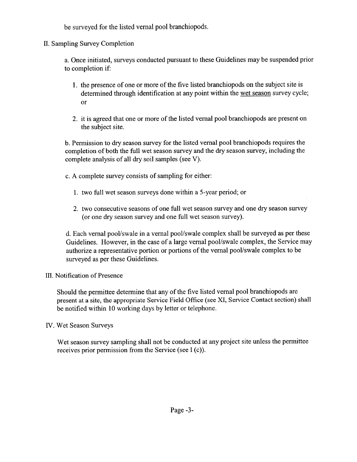be surveyed for the listed vernal pool branchiopods.

II. Sampling Survey Completion

a. Once initiated, surveys conducted pursuant to these Guidelines may be suspended prior to completion if:

- 1. the presence of one or more of the five listed branchiopods on the subject site is determined through identification at any point within the wet season survey cycle; or
- **2.** it is agreed that one or more of the listed vernal pool branchiopods are present on the subject site.

b. Permission to dry season survey for the listed vernal pool branchiopods requires the completion of both the full wet season survey and the dry season survey, including the complete analysis of all dry soil samples (see V).

- c. A complete survey consists of sampling for either:
	- **1.** two full wet season surveys done within a 5-year period; or
	- **<sup>2</sup> .** two consecutive seasons of one full wet season survey and one dry season survey (or one dry season survey and one full wet season survey).

d. Each vernal pool/swale in a vernal pool/swale complex shall be surveyed as per these Guidelines. However, in the case of a large vernal pool/swale complex, the Service may authorize a representative portion or portions of the vernal pool/swale complex to be surveyed as per these Guidelines.

## III. Notification of Presence

Should the permittee determine that any of the five listed vernal pool branchiopods are present at a site, the appropriate Service Field Office (see XI, Service Contact section) shall be notified within 10 working days by letter or telephone.

## IV. Wet Season Surveys

Wet season survey sampling shall not be conducted at any project site unless the permittee receives prior permission from the Service (see I (c)).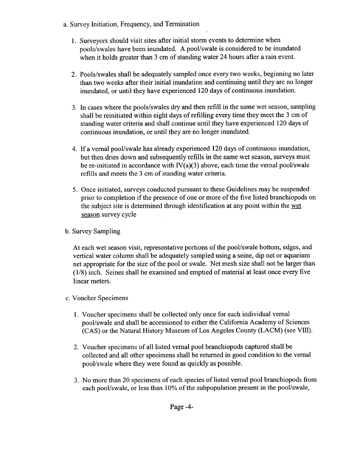- a. Survey Initiation, Frequency, and Termination
	- 1. Surveyors should visit sites after initial storm events to determine when pools/swales have been inundated. A pool/swale is considered to be inundated when it holds greater than 3 cm of standing water 24 hours after a rain event.
	- **2.** Pools/swales shall be adequately sampled once every two weeks, beginning no later than two weeks after their initial inundation and continuing until they are no longer inundated, or until they have experienced 120 days of continuous inundation.
	- 3. In cases where the pools/swales dry and then refill in the same wet season, sampling shall be reinitiated within eight days of refilling every time they meet the 3 cm of standing water criteria and shall continue until they have experienced 120 days of continuous inundation, or until they are no longer inundated.
	- 4. If a vernal pool/swale has already experienced 120 days of continuous inundation, but then dries down and subsequently refills in the same wet season, surveys must be re-initiated in accordance with  $IV(a)(3)$  above, each time the vernal pool/swale refills and meets the 3 cm of standing water criteria.
	- 5. Once initiated, surveys conducted pursuant to these Guidelines may be suspended prior to completion if the presence of one or more of the five listed branchiopods on the subject site is determined through identification at any point within the wet season survey cycle
- b. Survey Sampling

At each wet season visit, representative portions of the pool/swale bottom, edges, and vertical water column shall be adequately sampled using a seine, dip net or aquarium net appropriate for the size of the pool or swale. Net mesh size shall not be larger than (1/8) inch. Seines shall be examined and emptied of material at least once every five linear meters.

- c. Voucher Specimens
	- 1. Voucher specimens shall be collected only once for each individual vernal pool/swale and shall be accessioned to either the California Academy of Sciences (CAS) or the Natural History Museum of Los Angeles County (LACM) (see VIII).
	- **2.** Voucher specimens of all listed vernal pool branchiopods captured shall be collected and all other specimens shall be returned in good condition to the vernal pool/swale where they were found as quickly as possible.
	- **3.** No more than 20 specimens of each species of listed vernal pool branchiopods from each pool/swale, or less than 10% of the subpopulation present in the pool/swale,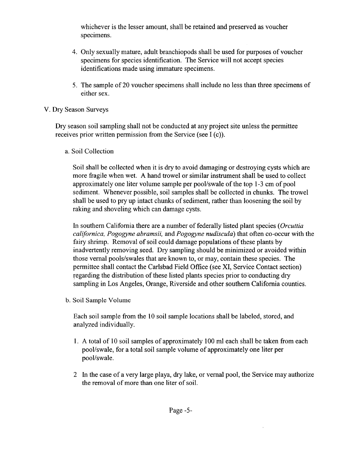whichever is the lesser amount, shall be retained and preserved as voucher specimens.

- **4.** Only sexually mature, adult branchiopods shall be used for purposes of voucher specimens for species identification. The Service will not accept species identifications made using immature specimens.
- 5. The sample of 20 voucher specimens shall include no less than three specimens of either sex.

## V. Dry Season Surveys

Dry season soil sampling shall not be conducted at any project site unless the permittee receives prior written permission from the Service (see I (c)).

a. Soil Collection

Soil shall be collected when it is dry to avoid damaging or destroying cysts which are more fragile when wet. A hand trowel or similar instrument shall be used to collect approximately one liter volume sample per pool/swale of the top 1-3 cm of pool sediment. Whenever possible, soil samples shall be collected in chunks. The trowel shall be used to pry up intact chunks of sediment, rather than loosening the soil by raking and shoveling which can damage cysts.

In southern California there are a number of federally listed plant species *(Orcuttia californica, Pogogyne abramsii,* and *Pogogyne nudiscula)* that often co-occur with the fairy shrimp. Removal of soil could damage populations of these plants by inadvertently removing seed. Dry sampling should be minimized or avoided within those vernal pools/swales that are known to, or may, contain these species. The permittee shall contact the Carlsbad Field Office (see XI, Service Contact section) regarding the distribution of these listed plants species prior to conducting dry sampling in Los Angeles, Orange, Riverside and other southern California counties.

b. Soil Sample Volume

Each soil sample from the 10 soil sample locations shall be labeled, stored, and analyzed individually.

- **1**. A total of 10 soil samples of approximately 100 ml each shall be taken from each pool/swale, for a total soil sample volume of approximately one liter per pool/swale.
- **2** In the case of a very large playa, dry lake, or vernal pool, the Service may authorize the removal of more than one liter of soil.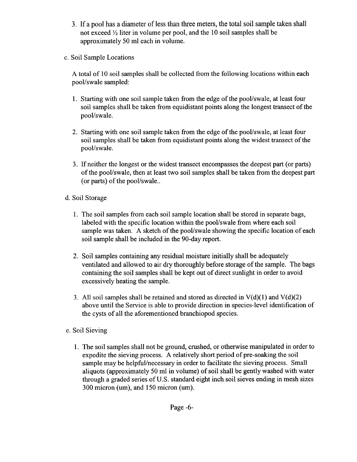- **3.** If a pool has a diameter of less than three meters, the total soil sample taken shall not exceed  $\frac{1}{2}$  liter in volume per pool, and the 10 soil samples shall be approximately 50 ml each in volume.
- c. Soil Sample Locations

A total of 10 soil samples shall be collected from the following locations within each pool/swale sampled:

- 1. Starting with one soil sample taken from the edge of the pool/swale, at least four soil samples shall be taken from equidistant points along the longest transect of the pool/swale.
- **2.** Starting with one soil sample taken from the edge of the pool/swale, at least four soil samples shall be taken from equidistant points along the widest transect of the pool/swale.
- 3. If neither the longest or the widest transect encompasses the deepest part (or parts) of the pool/swale, then at least two soil samples shall be taken from the deepest part (or parts) of the pool/swale.
- d. Soil Storage
	- 1. The soil samples from each soil sample location shall be stored in separate bags, labeled with the specific location within the pool/swale from where each soil sample was taken. A sketch of the pool/swale showing the specific location of each soil sample shall be included in the 90-day report.
	- **<sup>2</sup> .** Soil samples containing any residual moisture initially shall be adequately ventilated and allowed to air dry thoroughly before storage of the sample. The bags containing the soil samples shall be kept out of direct sunlight in order to avoid excessively heating the sample.
	- 3. All soil samples shall be retained and stored as directed in  $V(d)(1)$  and  $V(d)(2)$ above until the Service is able to provide direction in species-level identification of the cysts of all the aforementioned branchiopod species.
- e. Soil Sieving
	- **1.** The soil samples shall not be ground, crushed, or otherwise manipulated in order to expedite the sieving process. A relatively short period of pre-soaking the soil sample may be helpful/necessary in order to facilitate the sieving process. Small aliquots (approximately 50 ml in volume) of soil shall be gently washed with water through a graded series of U.S. standard eight inch soil sieves ending in mesh sizes 300 micron (um), and 150 micron (um).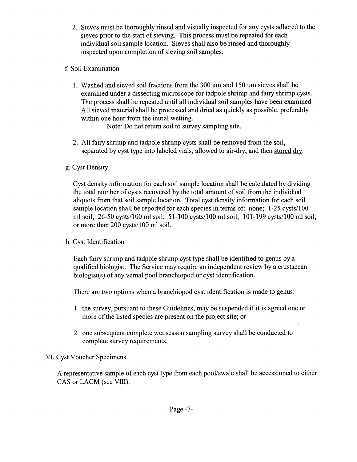**2.** Sieves must be thoroughly rinsed and visually inspected for any cysts adhered to the sieves prior to the start of sieving. This process must be repeated for each individual soil sample location. Sieves shall also be rinsed and thoroughly inspected upon completion of sieving soil samples.

## f. Soil Examination

1. Washed and sieved soil fractions from the 300 um and 150 um sieves shall be examined under a dissecting microscope for tadpole shrimp and fairy shrimp cysts. The process shall be repeated until all individual soil samples have been examined. All sieved material shall be processed and dried as quickly as possible, preferably within one hour from the initial wetting.

Note: Do not return soil to survey sampling site.

**2.** All fairy shrimp and tadpole shrimp cysts shall be removed from the soil, separated by cyst type into labeled vials, allowed to air-dry, and then stored dry.

## g. Cyst Density

Cyst density information for each soil sample location shall be calculated by dividing the total number of cysts recovered by the total amount of soil from the individual aliquots from that soil sample location. Total cyst density information for each soil sample location shall be reported for each species in terms of: none; 1-25 cysts/100 ml soil; 26-50 cysts/100 ml soil; 51-100 cysts/100 ml soil; 101-199 cysts/100 ml soil; or more than 200 cysts/100 ml soil.

## h. Cyst Identification

Each fairy shrimp and tadpole shrimp cyst type shall be identified to genus by a qualified biologist. The Service may require an independent review by a crustacean biologist(s) of any vernal pool branchiopod or cyst identification.

There are two options when a branchiopod cyst identification is made to genus:

- 1. the survey, pursuant to these Guidelines, may be suspended if it is agreed one or more of the listed species are present on the project site; or
- **2.** one subsequent complete wet season sampling survey shall be conducted to complete survey requirements.

## VI. Cyst Voucher Specimens

A representative sample of each cyst type from each pool/swale shall be accessioned to either CAS or LACM (see VIII).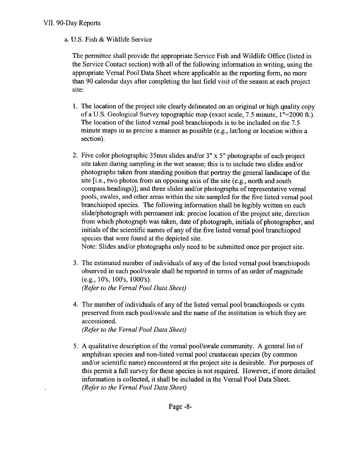## **VII. 90-Day Reports**

## a. U.S. Fish & Wildlife Service

The permittee shall provide the appropriate Service Fish and Wildlife Office (listed in the Service Contact section) with all of the following information in writing, using the appropriate Vernal Pool Data Sheet where applicable as the reporting form, no more than 90 calendar days after completing the last field visit of the season at each project site:

- 1. The location of the project site clearly delineated on an original or high quality copy of a U.S. Geological Survey topographic map (exact scale, 7.5 minute, 1"=2000 ft.). The location of the listed vernal pool branchiopods is to be included on the 7.5 minute maps in as precise a manner as possible (e.g., lat/long or location within a section).
- **2**. Five color photographic 35mm slides and/or 3" x 5" photographs of each project site taken during sampling in the wet season; this is to include two slides and/or photographs taken from standing position that portray the general landscape of the site [i.e., two photos from an opposing axis of the site (e.g., north and south compass headings)]; and three slides and/or photographs of representative vernal pools, swales, and other areas within the site sampled for the five listed vernal pool branchiopod species. The following information shall be legibly written on each slide/photograph with permanent ink: precise location of the project site, direction from which photograph was taken, date of photograph, initials of photographer, and initials of the scientific names of any of the five listed vernal pool branchiopod species that were found at the depicted site.

Note: Slides and/or photographs only need to be submitted once per project site.

- 3. The estimated number of individuals of any of the listed vernal pool branchiopods observed in each pool/swale shall be reported in terms of an order of magnitude (e.g., 10's, 100's, 1000's). *(Refer to the Vernal Pool Data Sheet)*
- 4. The number of individuals of any of the listed vernal pool branchiopods or cysts preserved from each pool/swale and the name of the institution in which they are accessioned.

*(Refer to the Vernal Pool Data Sheet)*

**5.** A qualitative description of the vernal pool/swale community. A general list of amphibian species and non-listed vernal pool crustacean species (by common and/or scientific name) encountered at the project site is desirable. For purposes of this permit a full survey for these species is not required. However, if more detailed information is collected, it shall be included in the Vernal Pool Data Sheet. *(Refer to the Vernal Pool Data Sheet)*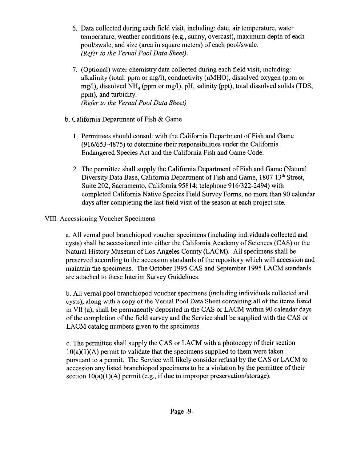- **6.** Data collected during each field visit, including: date, air temperature, water temperature, weather conditions (e.g., sunny, overcast), maximum depth of each pool/swale, and size (area in square meters) of each pool/swale. *(Refer to the Vernal Pool Data Sheet).*
- 7. (Optional) water chemistry data collected during each field visit, including: alkalinity (total: ppm or mg/1), conductivity (uMHO), dissolved oxygen (ppm or mg/l), dissolved NH<sub>4</sub> (ppm or mg/l), pH, salinity (ppt), total dissolved solids (TDS, ppm), and turbidity. *(Refer to the Vernal Pool Data Sheet)*
- b. California Department of Fish & Game
	- 1. Permittees should consult with the California Department of Fish and Game (916/653-4875) to determine their responsibilities under the California Endangered Species Act and the California Fish and Game Code.
	- **2.** The permittee shall supply the California Department of Fish and Game (Natural Diversity Data Base, California Department of Fish and Game, 1807 13<sup>th</sup> Street, Suite 202, Sacramento, California 95814; telephone 916/322-2494) with completed California Native Species Field Survey Forms, no more than 90 calendar days after completing the last field visit of the season at each project site.

## **VIII.** Accessioning Voucher Specimens

a. All vernal pool branchiopod voucher specimens (including individuals collected and cysts) shall be accessioned into either the California Academy of Sciences (CAS) or the Natural History Museum of Los Angeles County (LACM). All specimens shall be preserved according to the accession standards of the repository which will accession and maintain the specimens. The October 1995 CAS and September 1995 LACM standards are attached to these Interim Survey Guidelines.

b. All vernal pool branchiopod voucher specimens (including individuals collected and cysts), along with a copy of the Vernal Pool Data Sheet containing all of the items listed in VII (a), shall be permanently deposited in the CAS or LACM within 90 calendar days of the completion of the field survey and the Service shall be supplied with the CAS or LACM catalog numbers given to the specimens.

c. The permittee shall supply the CAS or LACM with a photocopy of their section  $10(a)(1)(A)$  permit to validate that the specimens supplied to them were taken pursuant to a permit. The Service will likely consider refusal by the CAS or LACM to accession any listed branchiopod specimens to be a violation by the permittee of their section  $10(a)(1)(A)$  permit (e.g., if due to improper preservation/storage).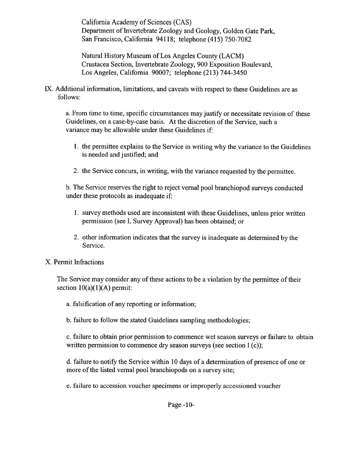California Academy of Sciences (CAS) Department of Invertebrate Zoology and Geology, Golden Gate Park, San Francisco, California 94118; telephone (415) 750-7082

Natural History Museum of Los Angeles County (LACM) Crustacea Section, Invertebrate Zoology, 900 Exposition Boulevard, Los Angeles, California 90007; telephone (213) 744-3450

IX. Additional information, limitations, and caveats with respect to these Guidelines are as follows:

a. From time to time, specific circumstances may justify or necessitate revision of these Guidelines, on a case-by-case basis. At the discretion of the Service, such a variance may be allowable under these Guidelines if:

- 1. the permittee explains to the Service in writing why the variance to the Guidelines is needed and justified; and
- **<sup>2</sup> .** the Service concurs, in writing, with the variance requested by the permittee.

b. The Service reserves the right to reject vernal pool branchiopod surveys conducted under these protocols as inadequate if:

- 1. survey methods used are inconsistent with these Guidelines, unless prior written permission (see I, Survey Approval) has been obtained; or
- **2**. other information indicates that the survey is inadequate as determined by the Service.

## X. Permit Infractions

The Service may consider any of these actions to be a violation by the permittee of their section  $10(a)(1)(A)$  permit:

- a. falsification of any reporting or information;
- b. failure to follow the stated Guidelines sampling methodologies;

c. failure to obtain prior permission to commence wet season surveys or failure to obtain written permission to commence dry season surveys (see section I (c));

d. failure to notify the Service within 10 days of a determination of presence of one or more of the listed vernal pool branchiopods on a survey site;

e. failure to accession voucher specimens or improperly accessioned voucher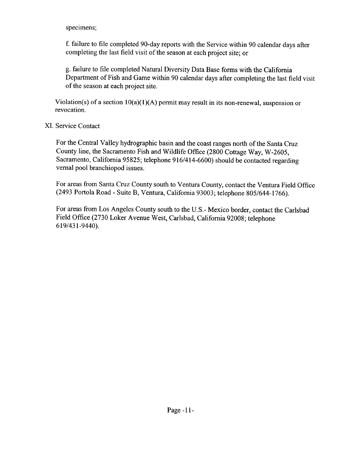#### specimens;

f. failure to file completed 90-day reports with the Service within 90 calendar days after completing the last field visit of the season at each project site; or

g. failure to file completed Natural Diversity Data Base forms with the California Department of Fish and Game within 90 calendar days after completing the last field visit of the season at each project site.

Violation(s) of a section  $10(a)(1)(A)$  permit may result in its non-renewal, suspension or revocation.

## XI. Service Contact

For the Central Valley hydrographic basin and the coast ranges north of the Santa Cruz County line, the Sacramento Fish and Wildlife Office (2800 Cottage Way, W-2605, Sacramento, California 95825; telephone 916/414-6600) should be contacted regarding vernal pool branchiopod issues.

For areas from Santa Cruz County south to Ventura County, contact the Ventura Field Office (2493 Portola Road - Suite B, Ventura, California 93003; telephone 805/644-1766).

For areas from Los Angeles County south to the U.S.- Mexico border, contact the Carlsbad Field Office (2730 Loker Avenue West, Carlsbad, California 92008; telephone 619/431-9440).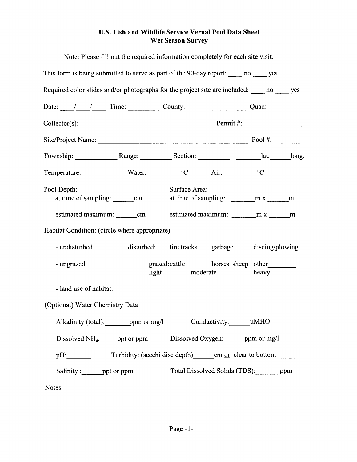## **U.S. Fish and Wildlife Service Vernal Pool Data Sheet Wet Season Survey**

| Note: Please fill out the required information completely for each site visit.                                                                                                                                                                                                                                                                                                                                   |               |                                                     |       |  |
|------------------------------------------------------------------------------------------------------------------------------------------------------------------------------------------------------------------------------------------------------------------------------------------------------------------------------------------------------------------------------------------------------------------|---------------|-----------------------------------------------------|-------|--|
| This form is being submitted to serve as part of the 90-day report: no yes                                                                                                                                                                                                                                                                                                                                       |               |                                                     |       |  |
| Required color slides and/or photographs for the project site are included: no wes                                                                                                                                                                                                                                                                                                                               |               |                                                     |       |  |
| Date: $\frac{1}{\sqrt{1-\frac{1}{1-\frac{1}{1-\frac{1}{1-\frac{1}{1-\frac{1}{1-\frac{1}{1-\frac{1}{1-\frac{1}{1-\frac{1}{1-\frac{1}{1-\frac{1}{1-\frac{1}{1-\frac{1}{1-\frac{1}{1-\frac{1}{1-\frac{1}{1-\frac{1}{1-\frac{1}{1-\frac{1}{1-\frac{1}{1-\frac{1}{1-\frac{1}{1-\frac{1}{1-\frac{1}{1-\frac{1}{1-\frac{1}{1-\frac{1}{1-\frac{1}{1-\frac{1}{1-\frac{1}{1-\frac{1}{1-\frac{1}{1-\frac{1}{1-\frac{1}{1-\$ |               |                                                     |       |  |
| $Collector(s):$ $\qquad \qquad$ $\qquad \qquad$ $\qquad \qquad$ $\qquad \qquad$ $\qquad \qquad$ $\qquad \qquad$ $\qquad \qquad$ $\qquad \qquad$ $\qquad \qquad$ $\qquad \qquad$ $\qquad \qquad$ $\qquad \qquad$ $\qquad \qquad$ $\qquad \qquad$ $\qquad \qquad$ $\qquad \qquad$ $\qquad \qquad$ $\qquad \qquad$ $\qquad \qquad$ $\qquad \qquad$ $\qquad \qquad$ $\qquad \qquad$ $\qquad \qquad$ $\qquad \qquad$  |               |                                                     |       |  |
|                                                                                                                                                                                                                                                                                                                                                                                                                  |               |                                                     |       |  |
| Township: Range: Range: Section: __________ lat. ________ long.                                                                                                                                                                                                                                                                                                                                                  |               |                                                     |       |  |
| Water: $\begin{array}{ccc}\n\mathbf{W} & \mathbf{W} \\ \mathbf{W} & \mathbf{W}\n\end{array}$ $\mathbf{W}$<br>Temperature:                                                                                                                                                                                                                                                                                        |               |                                                     |       |  |
| Pool Depth:                                                                                                                                                                                                                                                                                                                                                                                                      | Surface Area: | at time of sampling: $\frac{m x}{1 + m x}$          |       |  |
|                                                                                                                                                                                                                                                                                                                                                                                                                  |               |                                                     |       |  |
| Habitat Condition: (circle where appropriate)                                                                                                                                                                                                                                                                                                                                                                    |               |                                                     |       |  |
| - undisturbed                                                                                                                                                                                                                                                                                                                                                                                                    |               | disturbed: tire tracks garbage discing/plowing      |       |  |
| - ungrazed                                                                                                                                                                                                                                                                                                                                                                                                       |               | grazed: cattle horses sheep other<br>light moderate | heavy |  |
| - land use of habitat:                                                                                                                                                                                                                                                                                                                                                                                           |               |                                                     |       |  |
| (Optional) Water Chemistry Data                                                                                                                                                                                                                                                                                                                                                                                  |               |                                                     |       |  |
| Alkalinity (total): ________ ppm or mg/l Conductivity: ______ uMHO                                                                                                                                                                                                                                                                                                                                               |               |                                                     |       |  |
| Dissolved $NH_4$ : ______ ppt or ppm                                                                                                                                                                                                                                                                                                                                                                             |               | Dissolved Oxygen: ppm or mg/l                       |       |  |
| pH:                                                                                                                                                                                                                                                                                                                                                                                                              |               |                                                     |       |  |
| Salinity: ________ ppt or ppm                                                                                                                                                                                                                                                                                                                                                                                    |               | Total Dissolved Solids (TDS): ppm                   |       |  |
| Notes:                                                                                                                                                                                                                                                                                                                                                                                                           |               |                                                     |       |  |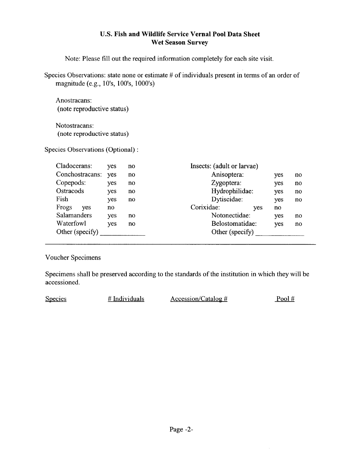#### **U.S. Fish and Wildlife Service Vernal Pool Data Sheet Wet Season Survey**

Note: Please fill out the required information completely for each site visit.

Species Observations: state none or estimate # of individuals present in terms of an order of magnitude (e.g., 10's, 100's, 1000's)

Anostracans: (note reproductive status)

Notostracans: (note reproductive status)

Species Observations (Optional) :

| Cladocerans:    | yes | no  | Insects: (adult or larvae) |            |     |    |
|-----------------|-----|-----|----------------------------|------------|-----|----|
| Conchostracans: | yes | no  | Anisoptera:                |            | yes | no |
| Copepods:       | yes | no. | Zygoptera:                 |            | yes | no |
| Ostracods       | yes | no  | Hydrophilidae:             |            | yes | no |
| Fish            | yes | no  | Dytiscidae:                |            | yes | no |
| Frogs<br>yes    | no  |     | Corixidae:                 | <b>ves</b> | no. |    |
| Salamanders     | yes | no  | Notonectidae:              |            | yes | no |
| Waterfowl       | yes | no  | Belostomatidae:            |            | yes | no |
| Other (specify) |     |     | Other (specify)            |            |     |    |
|                 |     |     |                            |            |     |    |

Voucher Specimens

Specimens shall be preserved according to the standards of the institution in which they will be accessioned.

 $Species$  # Individuals  $\Delta \cscssion/Catalog \#$  Pool #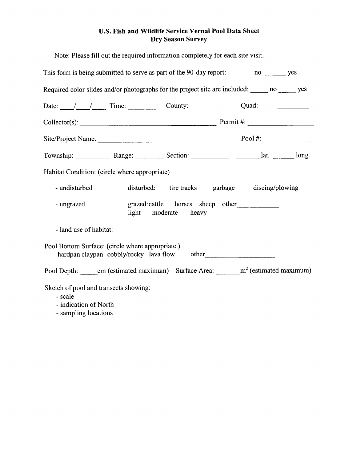## **U.S. Fish and Wildlife Service Vernal Pool Data Sheet Dry Season Survey**

| Note: Please fill out the required information completely for each site visit.                                                                                                                                                                                                                                                                                                                                   |                                                           |  |  |
|------------------------------------------------------------------------------------------------------------------------------------------------------------------------------------------------------------------------------------------------------------------------------------------------------------------------------------------------------------------------------------------------------------------|-----------------------------------------------------------|--|--|
| This form is being submitted to serve as part of the 90-day report: ________ no _______ yes                                                                                                                                                                                                                                                                                                                      |                                                           |  |  |
| Required color slides and/or photographs for the project site are included: no ______ yes                                                                                                                                                                                                                                                                                                                        |                                                           |  |  |
| Date: $\frac{1}{\sqrt{1-\frac{1}{1-\frac{1}{1-\frac{1}{1-\frac{1}{1-\frac{1}{1-\frac{1}{1-\frac{1}{1-\frac{1}{1-\frac{1}{1-\frac{1}{1-\frac{1}{1-\frac{1}{1-\frac{1}{1-\frac{1}{1-\frac{1}{1-\frac{1}{1-\frac{1}{1-\frac{1}{1-\frac{1}{1-\frac{1}{1-\frac{1}{1-\frac{1}{1-\frac{1}{1-\frac{1}{1-\frac{1}{1-\frac{1}{1-\frac{1}{1-\frac{1}{1-\frac{1}{1-\frac{1}{1-\frac{1}{1-\frac{1}{1-\frac{1}{1-\frac{1}{1-\$ |                                                           |  |  |
| Collector(s): $\qquad \qquad$ Permit #:                                                                                                                                                                                                                                                                                                                                                                          |                                                           |  |  |
|                                                                                                                                                                                                                                                                                                                                                                                                                  |                                                           |  |  |
|                                                                                                                                                                                                                                                                                                                                                                                                                  |                                                           |  |  |
| Habitat Condition: (circle where appropriate)                                                                                                                                                                                                                                                                                                                                                                    |                                                           |  |  |
| - undisturbed                                                                                                                                                                                                                                                                                                                                                                                                    | disturbed: tire tracks garbage discing/plowing            |  |  |
| - ungrazed                                                                                                                                                                                                                                                                                                                                                                                                       | grazed: cattle horses sheep other<br>light moderate heavy |  |  |
| - land use of habitat:                                                                                                                                                                                                                                                                                                                                                                                           |                                                           |  |  |
| Pool Bottom Surface: (circle where appropriate)<br>hardpan claypan cobbly/rocky lava flow other                                                                                                                                                                                                                                                                                                                  |                                                           |  |  |
| Pool Depth: _______ cm (estimated maximum) Surface Area: ________ m <sup>2</sup> (estimated maximum)                                                                                                                                                                                                                                                                                                             |                                                           |  |  |
| Sketch of pool and transects showing:<br>- scale<br>- indication of North<br>- sampling locations                                                                                                                                                                                                                                                                                                                |                                                           |  |  |

 $\sim$   $\sim$ 

 $\mathcal{L}(\mathcal{L})$  .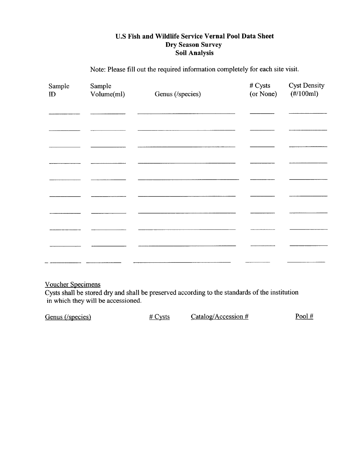## **U.S Fish and Wildlife Service Vernal Pool Data Sheet Dry Season Survey Soil Analysis**

Note: Please fill out the required information completely for each site visit.

| Sample<br>$\mathbf{D}$ | Sample<br>Volume(ml) | Genus (/species) | # Cysts<br>(or None) | <b>Cyst Density</b><br>$(\#/100ml)$ |
|------------------------|----------------------|------------------|----------------------|-------------------------------------|
|                        |                      |                  |                      |                                     |
|                        |                      |                  |                      |                                     |
|                        |                      |                  |                      |                                     |
|                        |                      |                  |                      |                                     |
|                        |                      |                  |                      |                                     |
|                        |                      |                  |                      |                                     |
|                        |                      |                  |                      |                                     |
|                        |                      |                  |                      |                                     |
|                        |                      |                  |                      |                                     |
|                        |                      |                  |                      |                                     |

#### Voucher Specimens

Cysts shall be stored dry and shall be preserved according to the standards of the institution in which they will be accessioned.

| Genus (/species) | # $CV$ sts | Catalog/Accession $#$ | Pool $#$ |
|------------------|------------|-----------------------|----------|
|------------------|------------|-----------------------|----------|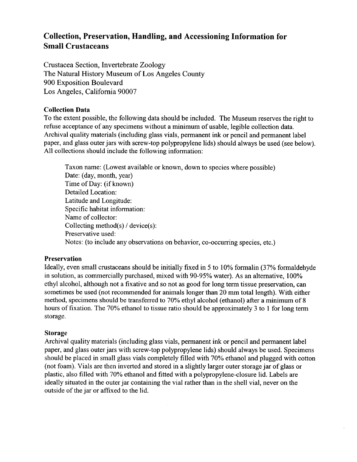## **Collection, Preservation, Handling, and Accessioning Information for Small Crustaceans**

Crustacea Section, Invertebrate Zoology The Natural History Museum of Los Angeles County 900 Exposition Boulevard Los Angeles, California 90007

#### **Collection Data**

To the extent possible, the following data should be included. The Museum reserves the right to refuse acceptance of any specimens without a minimum of usable, legible collection data. Archival quality materials (including glass vials, permanent ink or pencil and permanent label paper, and glass outer jars with screw-top polypropylene lids) should always be used (see below). All collections should include the following information:

Taxon name: (Lowest available or known, down to species where possible) Date: (day, month, year) Time of Day: (if known) Detailed Location: Latitude and Longitude: Specific habitat information: Name of collector: Collecting method(s) / device(s): Preservative used: Notes: (to include any observations on behavior, co-occurring species, etc.)

#### **Preservation**

Ideally, even small crustaceans should be initially fixed in 5 to 10% formalin (37% formaldehyde in solution, as commercially purchased, mixed with 90-95% water). As an alternative, 100% ethyl alcohol, although not a fixative and so not as good for long term tissue preservation, can sometimes be used (not recommended for animals longer than 20 mm total length). With either method, specimens should be transferred to 70% ethyl alcohol (ethanol) after a minimum of 8 hours of fixation. The 70% ethanol to tissue ratio should be approximately 3 to 1 for long term storage.

#### **Storage**

Archival quality materials (including glass vials, permanent ink or pencil and permanent label paper, and glass outer jars with screw-top polypropylene lids) should always be used. Specimens should be placed in small glass vials completely filled with 70% ethanol and plugged with cotton (not foam). Vials are then inverted and stored in a slightly larger outer storage jar of glass or plastic, also filled with 70% ethanol and fitted with a polypropylene-closure lid. Labels are ideally situated in the outer jar containing the vial rather than in the shell vial, never on the outside of the jar or affixed to the lid.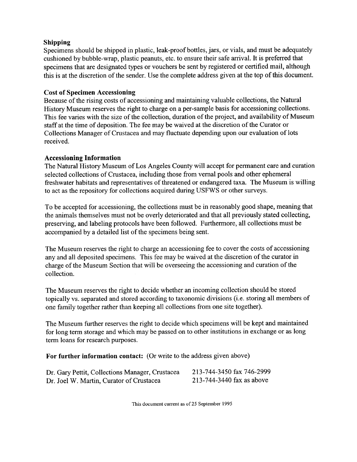#### **Shipping**

Specimens should be shipped in plastic, leak-proof bottles, jars, or vials, and must be adequately cushioned by bubble-wrap, plastic peanuts, etc. to ensure their safe arrival. It is preferred that specimens that are designated types or vouchers be sent by registered or certified mail, although this is at the discretion of the sender. Use the complete address given at the top of this document.

#### **Cost of Specimen Accessioning**

Because of the rising costs of accessioning and maintaining valuable collections, the Natural History Museum reserves the right to charge on a per-sample basis for accessioning collections. This fee varies with the size of the collection, duration of the project, and availability of Museum staff at the time of deposition. The fee may be waived at the discretion of the Curator or Collections Manager of Crustacea and may fluctuate depending upon our evaluation of lots received.

#### **Accessioning Information**

The Natural History Museum of Los Angeles County will accept for permanent care and curation selected collections of Crustacea, including those from vernal pools and other ephemeral freshwater habitats and representatives of threatened or endangered taxa. The Museum is willing to act as the repository for collections acquired during USFWS or other surveys.

To be accepted for accessioning, the collections must be in reasonably good shape, meaning that the animals themselves must not be overly deteriorated and that all previously stated collecting, preserving, and labeling protocols have been followed. Furthermore, all collections must be accompanied by a detailed list of the specimens being sent.

The Museum reserves the right to charge an accessioning fee to cover the costs of accessioning any and all deposited specimens. This fee may be waived at the discretion of the curator in charge of the Museum Section that will be overseeing the accessioning and curation of the collection.

The Museum reserves the right to decide whether an incoming collection should be stored topically vs. separated and stored according to taxonomic divisions (i.e. storing all members of one family together rather than keeping all collections from one site together).

The Museum further reserves the right to decide which specimens will be kept and maintained for long term storage and which may be passed on to other institutions in exchange or as long term loans for research purposes.

**For further information contact:** (Or write to the address given above)

| Dr. Gary Pettit, Collections Manager, Crustacea | 213-744-3450 fax 746-2999 |
|-------------------------------------------------|---------------------------|
| Dr. Joel W. Martin, Curator of Crustacea        | 213-744-3440 fax as above |

This document current as of 25 September 1995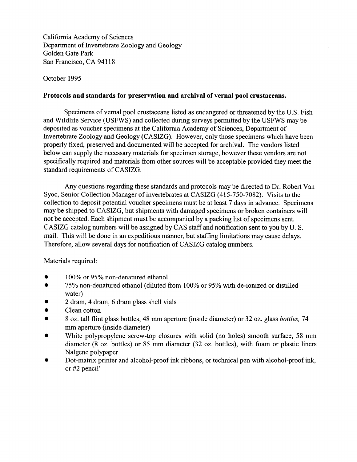California Academy of Sciences Department of Invertebrate Zoology and Geology Golden Gate Park San Francisco, CA 94118

October 1995

#### **Protocols and standards for preservation and archival of vernal pool crustaceans.**

Specimens of vernal pool crustaceans listed as endangered or threatened by the U.S. Fish and Wildlife Service (USFWS) and collected during surveys permitted by the USFWS may be deposited as voucher specimens at the California Academy of Sciences, Department of Invertebrate Zoology and Geology (CASIZG). However, only those specimens which have been properly fixed, preserved and documented will be accepted for archival. The vendors listed below can supply the necessary materials for specimen storage, however these vendors are not specifically required and materials from other sources will be acceptable provided they meet the standard requirements of CASIZG.

Any questions regarding these standards and protocols may be directed to Dr. Robert Van Syoc, Senior Collection Manager of invertebrates at CASIZG (415-750-7082). Visits to the collection to deposit potential voucher specimens must be at least 7 days in advance. Specimens may be shipped to CASIZG, but shipments with damaged specimens or broken containers will not be accepted. Each shipment must be accompanied by a packing list of specimens sent. CASIZG catalog numbers will be assigned by CAS staff and notification sent to you by U. S. mail. This will be done in an expeditious manner, but staffing limitations may cause delays. Therefore, allow several days for notification of CASIZG catalog numbers.

Materials required:

- 100% or 95% non-denatured ethanol
- 75% non-denatured ethanol (diluted from 100% or 95% with de-ionized or distilled water)
- 2 dram, 4 dram, 6 dram glass shell vials •
- Clean cotton
- 8 oz. tall flint glass bottles, 48 mm aperture (inside diameter) or 32 oz. glass *bottles,* 74 mm aperture (inside diameter)
- White polypropylene screw-top closures with solid (no holes) smooth surface, 58 mm diameter (8 oz. bottles) or 85 mm diameter (32 oz. bottles), with foam or plastic liners Nalgene polypaper
- Dot-matrix printer and alcohol-proof ink ribbons, or technical pen with alcohol-proof ink, or #2 pencil'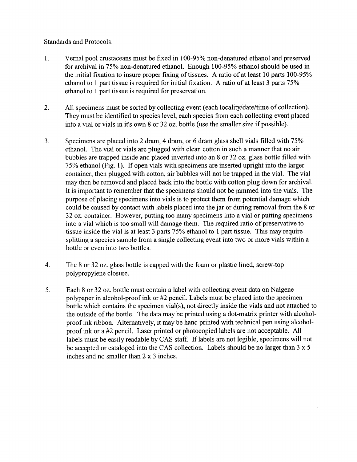#### Standards and Protocols:

- **1.** Vernal pool crustaceans must be fixed in 100-95% non-denatured ethanol and preserved for archival in 75% non-denatured ethanol. Enough 100-95% ethanol should be used in the initial fixation to insure proper fixing of tissues. A ratio of at least 10 parts 100-95% ethanol to 1 part tissue is required for initial fixation. A ratio of at least 3 parts 75% ethanol to 1 part tissue is required for preservation.
- **2.** All specimens must be sorted by collecting event (each locality/date/time of collection). They must be identified to species level, each species from each collecting event placed into a vial or vials in it's own 8 or 32 oz. bottle (use the smaller size if possible).
- 3. Specimens are placed into 2 dram, 4 dram, or 6 dram glass shell vials filled with 75% ethanol. The vial or vials are plugged with clean cotton in such a manner that no air bubbles are trapped inside and placed inverted into an 8 or 32 oz. glass bottle filled with 75% ethanol (Fig. 1). If open vials with specimens are inserted upright into the larger container, then plugged with cotton, air bubbles will not be trapped in the vial. The vial may then be removed and placed back into the bottle with cotton plug down for archival. It is important to remember that the specimens should not be jammed into the vials. The purpose of placing specimens into vials is to protect them from potential damage which could be caused by contact with labels placed into the jar or during removal from the 8 or 32 oz. container. However, putting too many specimens into a vial or putting specimens into a vial which is too small will damage them. The required ratio of preservative to tissue inside the vial is at least 3 parts 75% ethanol to 1 part tissue. This may require splitting a species sample from a single collecting event into two or more vials within a bottle or even into two bottles.
- 4. The 8 or 32 oz. glass bottle is capped with the foam or plastic lined, screw-top polypropylene closure.
- 5. Each 8 or 32 oz. bottle must contain a label with collecting event data on Nalgene polypaper in alcohol-proof ink or #2 pencil. Labels must be placed into the specimen bottle which contains the specimen vial(s), not directly inside the vials and not attached to the outside of the bottle. The data may be printed using a dot-matrix printer with alcoholproof ink ribbon. Alternatively, it may be hand printed with technical pen using alcoholproof ink or a #2 pencil. Laser printed or photocopied labels are not acceptable. All labels must be easily readable by CAS staff. If labels are not legible, specimens will not be accepted or cataloged into the CAS collection. Labels should be no larger than 3 x 5 inches and no smaller than 2 x 3 inches.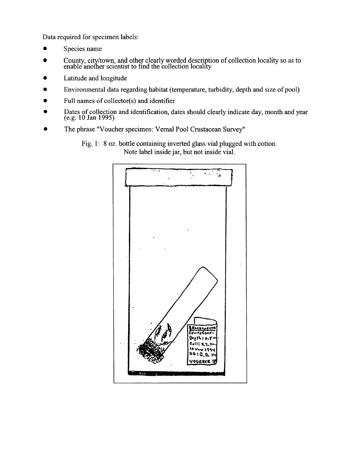Data required for specimen labels:

- Species name
- County, city/town, and other clearly worded description of collection locality so as to enable another scientist to find the collection locality
- Latitude and longitude
- Environmental data regarding habitat (temperature, turbidity, depth and size of pool)
- Full names of collector(s) and identifier
- Dates of collection and identification, dates should clearly indicate day, month and year (e.g. 10 Jan 1995)
- The phrase "Voucher specimen: Vernal Pool Crustacean Survey"

 $\dddot{\phantom{a}}$ ÷ Recorde **ALIFERNAN** Deeth : a.s  $C.0.$ OUCHER

Fig. 1: 8 oz. bottle containing inverted glass vial plugged with cotton. Note label inside jar, but not inside vial.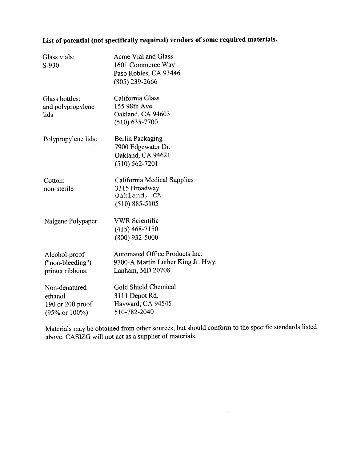## **List of potential (not specifically required) vendors of some required materials.**

| Glass vials:<br>S-930                                                          | <b>Acme Vial and Glass</b><br>1601 Commerce Way<br>Paso Robles, CA 93446<br>(805) 239-2666 |
|--------------------------------------------------------------------------------|--------------------------------------------------------------------------------------------|
| Glass bottles:<br>and polypropylene<br>lids                                    | California Glass<br>155 98th Ave.<br>Oakland, CA 94603<br>$(510) 635 - 7700$               |
| Polypropylene lids:                                                            | <b>Berlin Packaging</b><br>7900 Edgewater Dr.<br>Oakland, CA 94621<br>$(510) 562 - 7201$   |
| Cotton:<br>non-sterile                                                         | California Medical Supplies<br>3315 Broadway<br>Oakland, CA<br>$(510) 885 - 5105$          |
| Nalgene Polypaper:                                                             | <b>VWR Scientific</b><br>$(415)$ 468-7150<br>$(800)$ 932-5000                              |
| Alcohol-proof<br>("non-bleeding")<br>printer ribbons:                          | Automated Office Products Inc.<br>9700-A Martin Luther King Jr. Hwy.<br>Lanham, MD 20708   |
| Non-denatured<br>ethanol<br>$190$ or $200$ proof<br>$(95\% \text{ or } 100\%)$ | <b>Gold Shield Chemical</b><br>3111 Depot Rd.<br>Hayward, CA 94545<br>510-782-2040         |

Materials may be obtained from other sources, but should conform to the specific standards listed above. CASIZG will not act as a supplier of materials.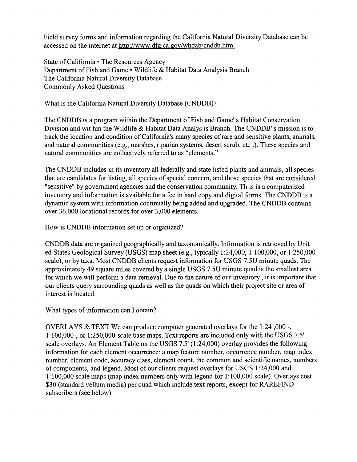Field survey forms and information regarding the California Natural Diversity Database can be accessed on the internet at<http://www.dfg.ca.gov/whdab/cnddb.htm>.

State of California • The Resources Agency Department of Fish and Game • Wildlife & Habitat Data Analysis Branch The California Natural Diversity Database Commonly Asked Questions

What is the California Natural Diversity Database (CNDDB)?

The CNDDB is a program within the Department of Fish and Game's Habitat Conservation Division and wit hin the Wildlife & Habitat Data Analys is Branch. The CNDDB's mission is to track the location and condition of California's many species of rare and sensitive plants, animals, and natural communities (e.g., marshes, riparian systems, desert scrub, etc .). These species and natural communities are collectively referred to as "elements."

The CNDDB includes in its inventory all federally and state listed plants and animals, all species that are candidates for listing, all species of special concern, and those species that are considered "sensitive" by government agencies and the conservation community. Th is is a computerized inventory and information is available for a fee in hard copy and digital forms. The CNDDB is a dynamic system with information continually being added and upgraded. The CNDDB contains over 36,000 locational records for over 3,000 elements.

How is CNDDB information set up or organized?

CNDDB data are organized geographically and taxonomically. Information is retrieved by Unit ed States Geological Survey (USGS) map sheet (e.g., typically 1:24,000, 1:100,000, or 1:250,000 scale), or by taxa. Most CNDDB clients request information for USGS 7.5U minute quads. The approximately 49 square miles covered by a single USGS 7.5U minute quad is the smallest area for which we will perform a data retrieval. Due to the nature of our inventory, it is important that our clients query surrounding quads as well as the quads on which their project site or area of interest is located.

What types of information can I obtain?

OVERLAYS & TEXT We can produce computer generated overlays for the 1:24 ,000 -, 1:100,000-, or 1:250,000-scale base maps. Text reports are included only with the USGS 7.5' scale overlays. An Element Table on the USGS 7.5' (1:24,000) overlay provides the following information for each element occurrence: a map feature number, occurrence number, map index number, element code, accuracy class, element count, the common and scientific names, numbers of components, and legend. Most of our clients request overlays for USGS 1:24,000 and 1:100,000 scale maps (map index numbers only with legend for 1:100,000 scale). Overlays cost \$30 (standard vellum media) per quad which include text reports, except for RAREFIND subscribers (see below).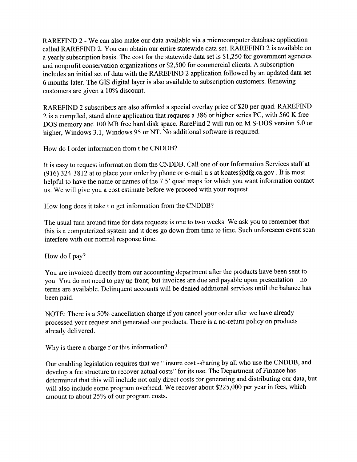RAREFIND 2 - We can also make our data available via a microcomputer database application called RAREFIND 2. You can obtain our entire statewide data set. RAREFIND 2 is available on a yearly subscription basis. The cost for the statewide data set is \$1,250 for government agencies and nonprofit conservation organizations or \$2,500 for commercial clients. A subscription includes an initial set of data with the RAREFIND 2 application followed by an updated data set 6 months later. The GIS digital layer is also available to subscription customers. Renewing customers are given a 10% discount.

RAREFIND 2 subscribers are also afforded a special overlay price of \$20 per quad. RAREFIND 2 is a compiled, stand alone application that requires a 386 or higher series PC, with 560 K free DOS memory and 100 MB free hard disk space. RareFind 2 will run on M S-DOS version 5.0 or higher, Windows 3.1, Windows 95 or NT. No additional software is required.

How do I order information from t he CNDDB?

It is easy to request information from the CNDDB. Call one of our Information Services staff at (916) 324-3812 at to place your order by phone or e-mail u s at [kbates@dfg.ca.gov](mailto:kbates@dfg.ca.gov). It is most helpful to have the name or names of the 7.5' quad maps for which you want information contact us. We will give you a cost estimate before we proceed with your request.

How long does it take t o get information from the CNDDB?

The usual turn around time for data requests is one to two weeks. We ask you to remember that this is a computerized system and it does go down from time to time. Such unforeseen event scan interfere with our normal response time.

How do I pay?

You are invoiced directly from our accounting department after the products have been sent to you. You do not need to pay up front; but invoices are due and payable upon presentation—no terms are available. Delinquent accounts will be denied additional services until the balance has been paid.

NOTE: There is a 50% cancellation charge if you cancel your order after we have already processed your request and generated our products. There is a no-return policy on products already delivered.

Why is there a charge f or this information?

Our enabling legislation requires that we " insure cost -sharing by all who use the CNDDB, and develop a fee structure to recover actual costs" for its use. The Department of Finance has determined that this will include not only direct costs for generating and distributing our data, but will also include some program overhead. We recover about \$225,000 per year in fees, which amount to about 25% of our program costs.